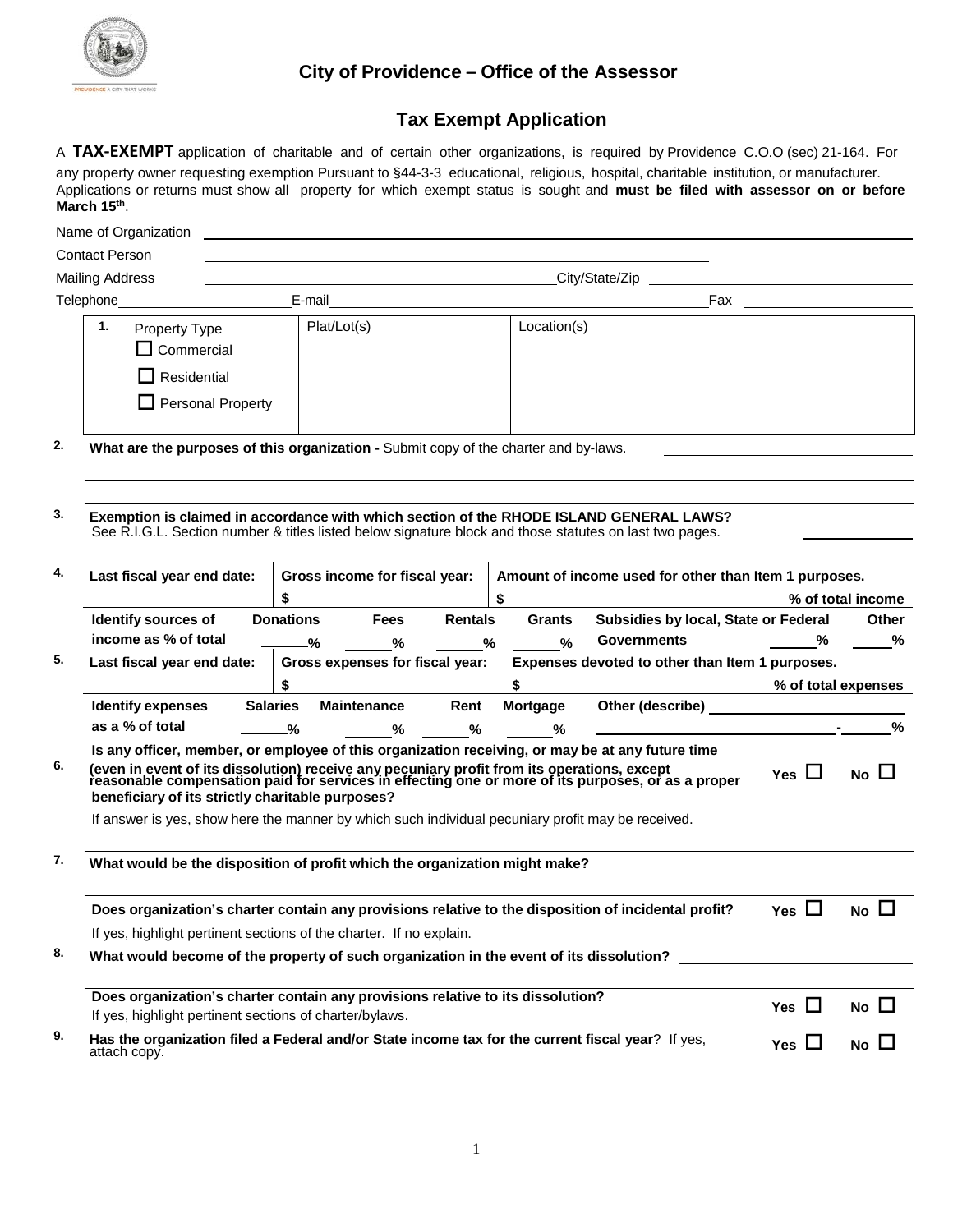

## **City of Providence – Office of the Assessor**

# **Tax Exempt Application**

A **TAX-EXEMPT** application of charitable and of certain other organizations, is required by Providence C.O.O (sec) 21-164. For any property owner requesting exemption Pursuant to §44-3-3 educational, religious, hospital, charitable institution, or manufacturer. Applications or returns must show all property for which exempt status is sought and **must be filed with assessor on or before March 15th**.

|    | Name of Organization                                                                                                                                                                                                                                                                                                                                                                                                                                           |                                       |                                                                                                                      |    |                    |                                                            |  |                     |                      |  |
|----|----------------------------------------------------------------------------------------------------------------------------------------------------------------------------------------------------------------------------------------------------------------------------------------------------------------------------------------------------------------------------------------------------------------------------------------------------------------|---------------------------------------|----------------------------------------------------------------------------------------------------------------------|----|--------------------|------------------------------------------------------------|--|---------------------|----------------------|--|
|    | <b>Contact Person</b>                                                                                                                                                                                                                                                                                                                                                                                                                                          |                                       | <u> 1989 - Johann Stein, marwolaethau a bhann an t-Amhair an t-Amhair an t-Amhair an t-Amhair an t-Amhair an t-A</u> |    |                    |                                                            |  |                     |                      |  |
|    | <b>Mailing Address</b>                                                                                                                                                                                                                                                                                                                                                                                                                                         |                                       | City/State/Zip                                                                                                       |    |                    |                                                            |  |                     |                      |  |
|    | Telephone_                                                                                                                                                                                                                                                                                                                                                                                                                                                     | E-mail                                |                                                                                                                      |    |                    |                                                            |  |                     |                      |  |
|    | 1.<br>Property Type<br>Commercial<br>Residential<br><b>Personal Property</b>                                                                                                                                                                                                                                                                                                                                                                                   | Plat/Lot(s)                           |                                                                                                                      |    | Location(s)        |                                                            |  |                     |                      |  |
| 2. | What are the purposes of this organization - Submit copy of the charter and by-laws.                                                                                                                                                                                                                                                                                                                                                                           |                                       |                                                                                                                      |    |                    |                                                            |  |                     |                      |  |
| 3. | Exemption is claimed in accordance with which section of the RHODE ISLAND GENERAL LAWS?<br>See R.I.G.L. Section number & titles listed below signature block and those statutes on last two pages.                                                                                                                                                                                                                                                             |                                       |                                                                                                                      |    |                    |                                                            |  |                     |                      |  |
| 4. | Last fiscal year end date:                                                                                                                                                                                                                                                                                                                                                                                                                                     | \$                                    | Gross income for fiscal year:                                                                                        | \$ |                    | Amount of income used for other than Item 1 purposes.      |  |                     | % of total income    |  |
|    | Identify sources of<br>income as % of total                                                                                                                                                                                                                                                                                                                                                                                                                    | <b>Donations</b><br>-%                | <b>Rentals</b><br><b>Fees</b><br>℅                                                                                   | %  | <b>Grants</b><br>% | Subsidies by local, State or Federal<br><b>Governments</b> |  | %                   | <b>Other</b><br>$\%$ |  |
| 5. | Last fiscal year end date:                                                                                                                                                                                                                                                                                                                                                                                                                                     | \$                                    | Gross expenses for fiscal year:                                                                                      | \$ |                    | Expenses devoted to other than Item 1 purposes.            |  | % of total expenses |                      |  |
|    | <b>Identify expenses</b>                                                                                                                                                                                                                                                                                                                                                                                                                                       | <b>Salaries</b><br><b>Maintenance</b> | Rent                                                                                                                 |    | Mortgage           |                                                            |  |                     |                      |  |
|    | as a % of total                                                                                                                                                                                                                                                                                                                                                                                                                                                | -%                                    | $\%$<br>%                                                                                                            |    | %                  |                                                            |  |                     | $\frac{9}{6}$        |  |
| 6. | Is any officer, member, or employee of this organization receiving, or may be at any future time<br>(even in event of its dissolution) receive any pecuniary profit from its operations, except<br>reasonable compensation paid for services in effecting one or more of its purposes, or as a proper<br>beneficiary of its strictly charitable purposes?<br>If answer is yes, show here the manner by which such individual pecuniary profit may be received. |                                       |                                                                                                                      |    |                    |                                                            |  | Yes $\Box$          | No $\Box$            |  |
| 7. | What would be the disposition of profit which the organization might make?                                                                                                                                                                                                                                                                                                                                                                                     |                                       |                                                                                                                      |    |                    |                                                            |  |                     |                      |  |
|    | Does organization's charter contain any provisions relative to the disposition of incidental profit?<br>If yes, highlight pertinent sections of the charter. If no explain.                                                                                                                                                                                                                                                                                    |                                       |                                                                                                                      |    |                    |                                                            |  | Yes $\Box$          | No $\Box$            |  |
| 8. | What would become of the property of such organization in the event of its dissolution?                                                                                                                                                                                                                                                                                                                                                                        |                                       |                                                                                                                      |    |                    |                                                            |  |                     |                      |  |
|    |                                                                                                                                                                                                                                                                                                                                                                                                                                                                |                                       |                                                                                                                      |    |                    |                                                            |  |                     |                      |  |
|    | Does organization's charter contain any provisions relative to its dissolution?<br>If yes, highlight pertinent sections of charter/bylaws.                                                                                                                                                                                                                                                                                                                     |                                       |                                                                                                                      |    |                    |                                                            |  | Yes $\Box$          | No $\square$         |  |
| 9. | Has the organization filed a Federal and/or State income tax for the current fiscal year? If yes,<br>attach copy.                                                                                                                                                                                                                                                                                                                                              |                                       |                                                                                                                      |    |                    |                                                            |  | Yes $\Box$          | No $\Box$            |  |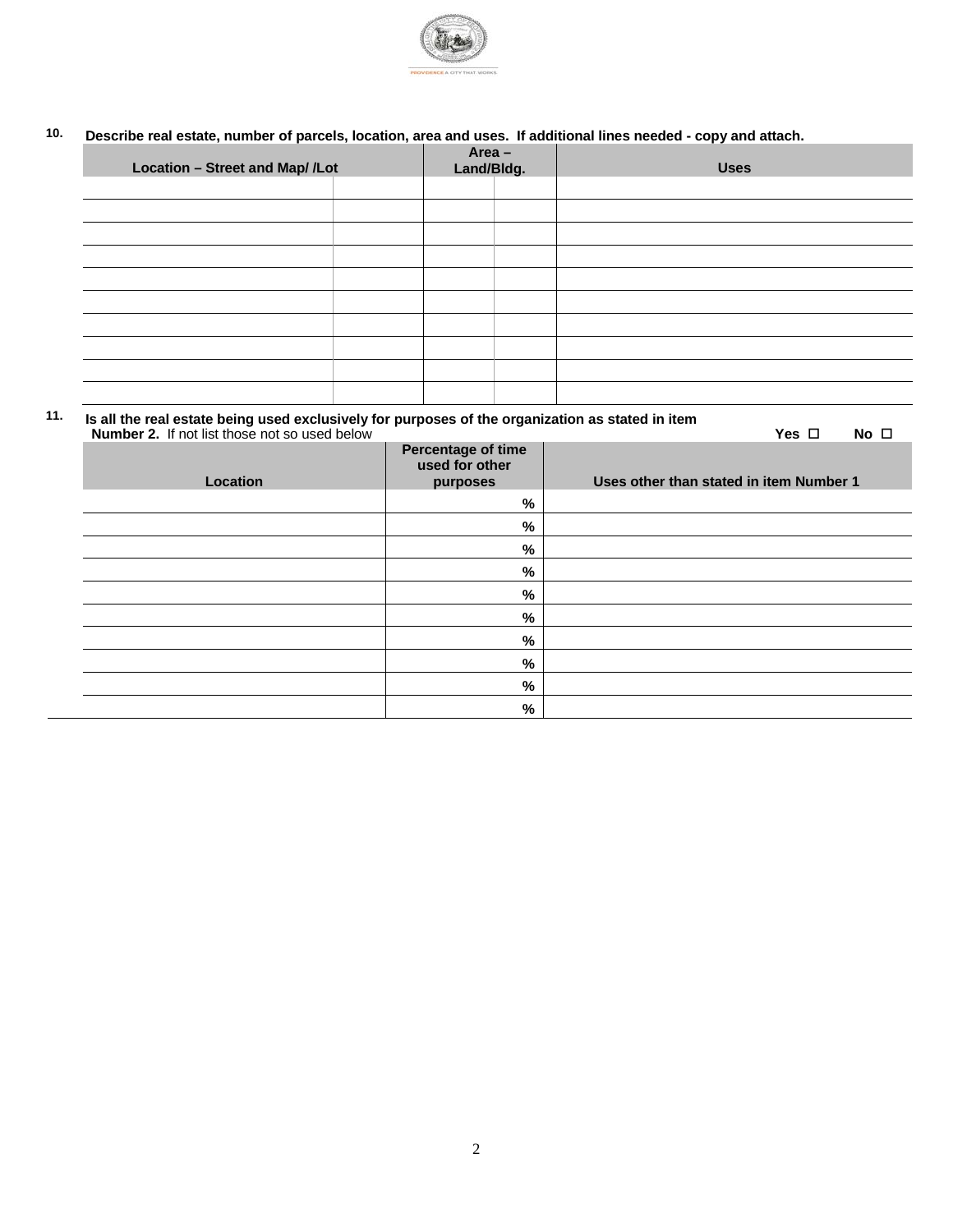

## **10. Describe real estate, number of parcels, location, area and uses. If additional lines needed - copy and attach.**

| Location - Street and Map/ /Lot |  | $Area -$<br>Land/Bldg. |  | <b>Uses</b> |  |
|---------------------------------|--|------------------------|--|-------------|--|
|                                 |  |                        |  |             |  |
|                                 |  |                        |  |             |  |
|                                 |  |                        |  |             |  |
|                                 |  |                        |  |             |  |
|                                 |  |                        |  |             |  |
|                                 |  |                        |  |             |  |
|                                 |  |                        |  |             |  |
|                                 |  |                        |  |             |  |
|                                 |  |                        |  |             |  |
|                                 |  |                        |  |             |  |

**11. Is all the real estate being used exclusively for purposes of the organization as stated in item Number 2.** If not list those not so used below **Yes**  $\square$  **No**  $\square$ **Percentage of time**

| Location | $\tilde{\phantom{a}}$<br>used for other<br>purposes | Uses other than stated in item Number 1 |
|----------|-----------------------------------------------------|-----------------------------------------|
|          | %                                                   |                                         |
|          | %                                                   |                                         |
|          | $\%$                                                |                                         |
|          | %                                                   |                                         |
|          | %                                                   |                                         |
|          | %                                                   |                                         |
|          | %                                                   |                                         |
|          | %                                                   |                                         |
|          | $\%$                                                |                                         |
|          | %                                                   |                                         |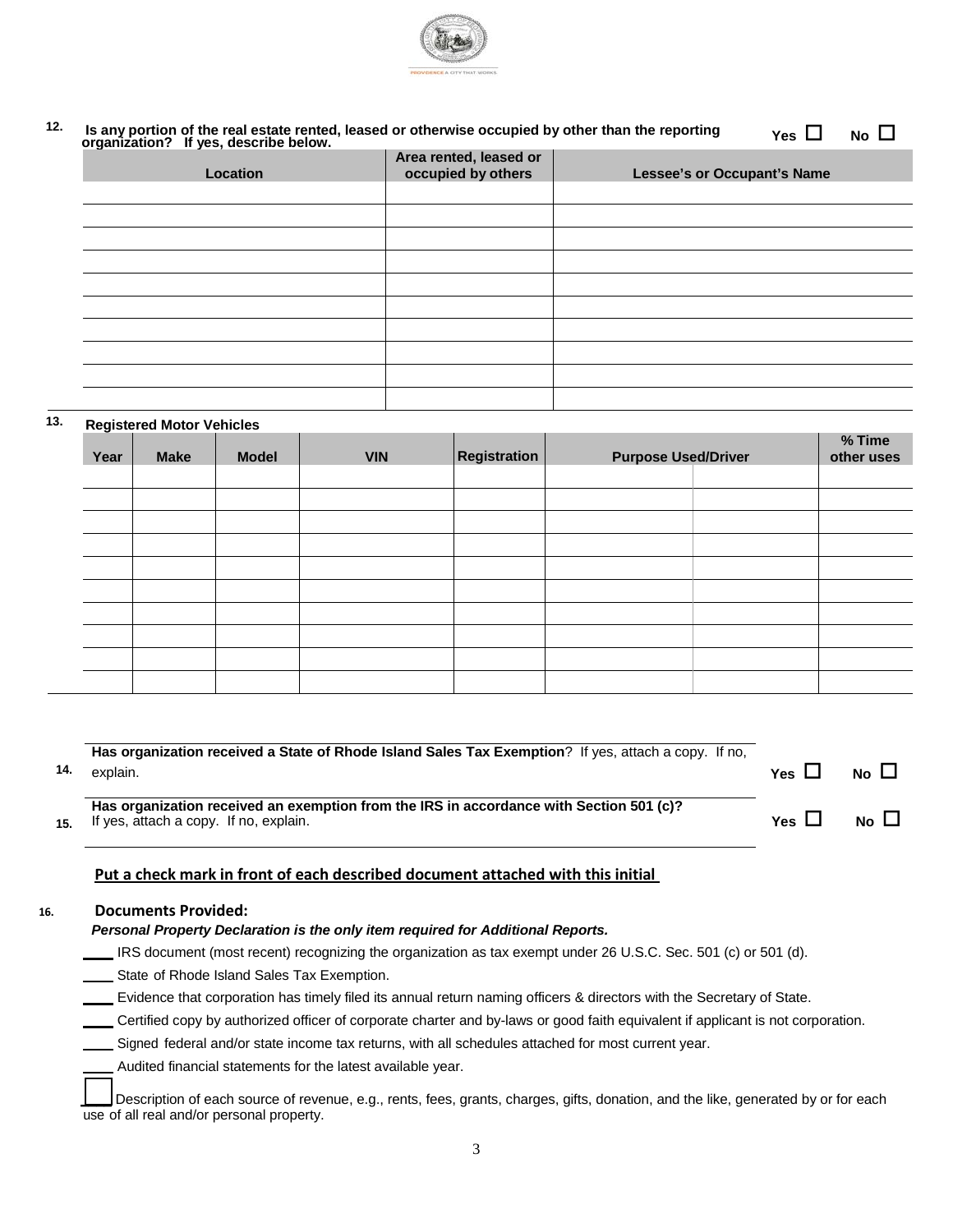

#### <sup>12.</sup> Is any portion of the real estate rented, leased or otherwise occupied by other than the reporting organization? If yes, describe below.  $Yes \Box \qquad No \Box$

| Location | Area rented, leased or<br>occupied by others | <b>Lessee's or Occupant's Name</b> |
|----------|----------------------------------------------|------------------------------------|
|          |                                              |                                    |
|          |                                              |                                    |
|          |                                              |                                    |
|          |                                              |                                    |
|          |                                              |                                    |
|          |                                              |                                    |
|          |                                              |                                    |
|          |                                              |                                    |
|          |                                              |                                    |
|          |                                              |                                    |

### **13. Registered Motor Vehicles**

| Year | <b>Make</b> | <b>Model</b> | <b>VIN</b> | Registration | <b>Purpose Used/Driver</b> | % Time<br>other uses |
|------|-------------|--------------|------------|--------------|----------------------------|----------------------|
|      |             |              |            |              |                            |                      |
|      |             |              |            |              |                            |                      |
|      |             |              |            |              |                            |                      |
|      |             |              |            |              |                            |                      |
|      |             |              |            |              |                            |                      |
|      |             |              |            |              |                            |                      |
|      |             |              |            |              |                            |                      |
|      |             |              |            |              |                            |                      |
|      |             |              |            |              |                            |                      |
|      |             |              |            |              |                            |                      |

| 14.             | Has organization received a State of Rhode Island Sales Tax Exemption? If yes, attach a copy. If no,<br>explain.                  | Yes $\Box$ | No $\Box$   |
|-----------------|-----------------------------------------------------------------------------------------------------------------------------------|------------|-------------|
| 15 <sub>1</sub> | Has organization received an exemption from the IRS in accordance with Section 501 (c)?<br>If yes, attach a copy. If no, explain. | Yes $\Box$ | $No$ $\Box$ |

#### **Put a check mark in front of each described document attached with this initial**

#### **16. Documents Provided:**

#### *Personal Property Declaration is the only item required for Additional Reports.*

IRS document (most recent) recognizing the organization as tax exempt under 26 U.S.C. Sec. 501 (c) or 501 (d).

State of Rhode Island Sales Tax Exemption.

**Evidence that corporation has timely filed its annual return naming officers & directors with the Secretary of State.** 

Certified copy by authorized officer of corporate charter and by-laws or good faith equivalent if applicant is not corporation.

Signed federal and/or state income tax returns, with all schedules attached for most current year.

Audited financial statements for the latest available year.

Description of each source of revenue, e.g., rents, fees, grants, charges, gifts, donation, and the like, generated by or for each use of all real and/or personal property.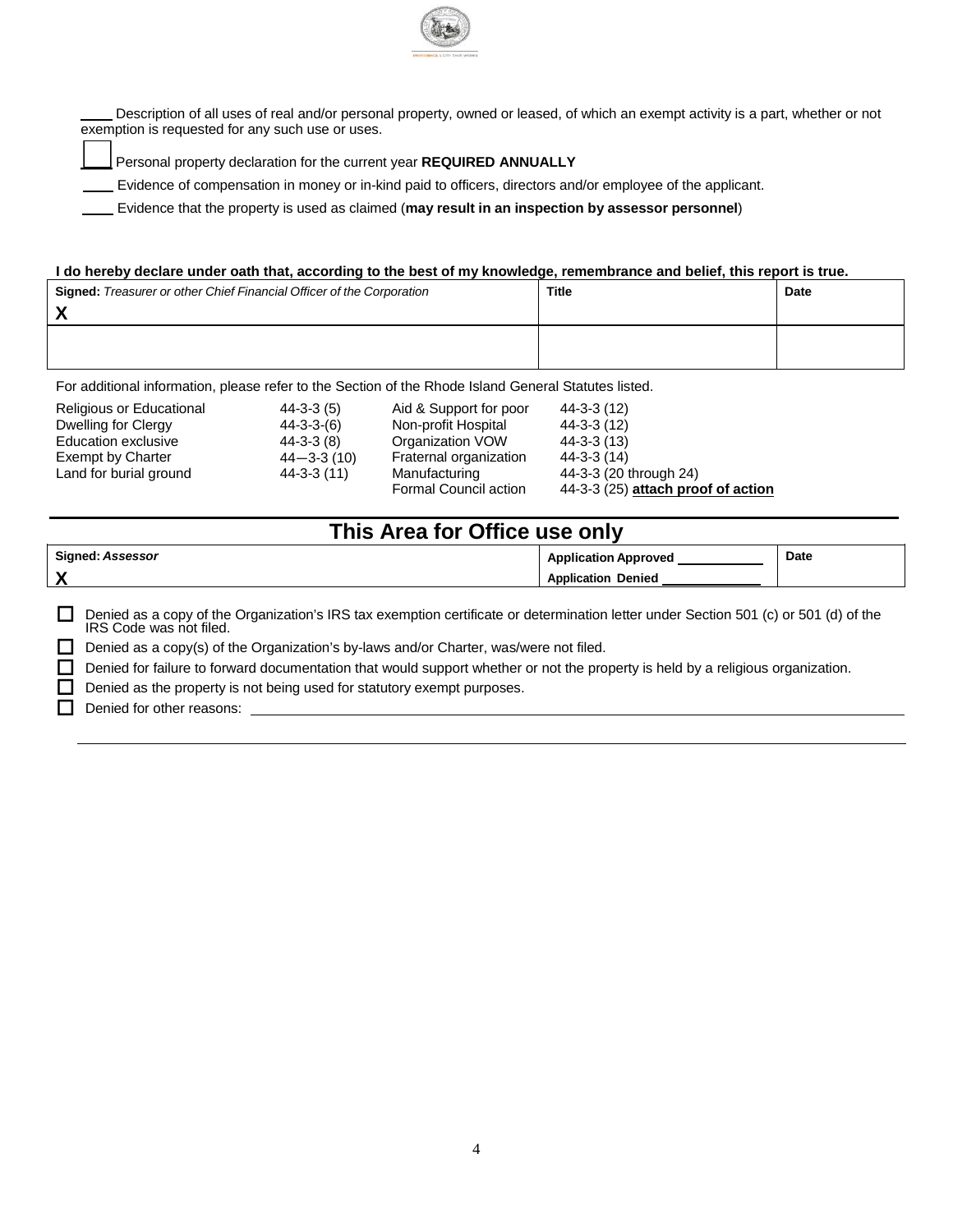

 Description of all uses of real and/or personal property, owned or leased, of which an exempt activity is a part, whether or not exemption is requested for any such use or uses.

\_\_\_\_ Personal property declaration for the current year **REQUIRED ANNUALLY**

Evidence of compensation in money or in-kind paid to officers, directors and/or employee of the applicant.

Evidence that the property is used as claimed (**may result in an inspection by assessor personnel**)

#### **I do hereby declare under oath that, according to the best of my knowledge, remembrance and belief, this report is true.**

| <b>Signed:</b> Treasurer or other Chief Financial Officer of the Corporation | Title | <b>Date</b> |
|------------------------------------------------------------------------------|-------|-------------|
|                                                                              |       |             |

For additional information, please refer to the Section of the Rhode Island General Statutes listed.

| <b>Religious or Educational</b> | $44-3-3(5)$        | Aid & Support for poor | $44-3-3(12)$                        |
|---------------------------------|--------------------|------------------------|-------------------------------------|
| Dwelling for Clergy             | $44 - 3 - 3 - (6)$ | Non-profit Hospital    | $44-3-3(12)$                        |
| Education exclusive             | $44 - 3 - 3(8)$    | Organization VOW       | $44 - 3 - 3(13)$                    |
| Exempt by Charter               | $44 - 3 - 3(10)$   | Fraternal organization | $44 - 3 - 3(14)$                    |
| Land for burial ground          | 44-3-3 (11)        | Manufacturing          | 44-3-3 (20 through 24)              |
|                                 |                    | Formal Council action  | $44-3-3(25)$ attach proof of action |

# **This Area for Office use only**

| Signed:<br>Assessor | Application<br><b>Approved</b> | Date |
|---------------------|--------------------------------|------|
| $\mathbf{v}$        | Denied<br><b>\pplication</b>   |      |
|                     |                                |      |

Denied as a copy of the Organization's IRS tax exemption certificate or determination letter under Section 501 (c) or 501 (d) of the IRS Code was not filed.

Denied as a copy(s) of the Organization's by-laws and/or Charter, was/were not filed.

Denied for failure to forward documentation that would support whether or not the property is held by a religious organization.

Denied as the property is not being used for statutory exempt purposes.

 $\Box$  Denied for other reasons: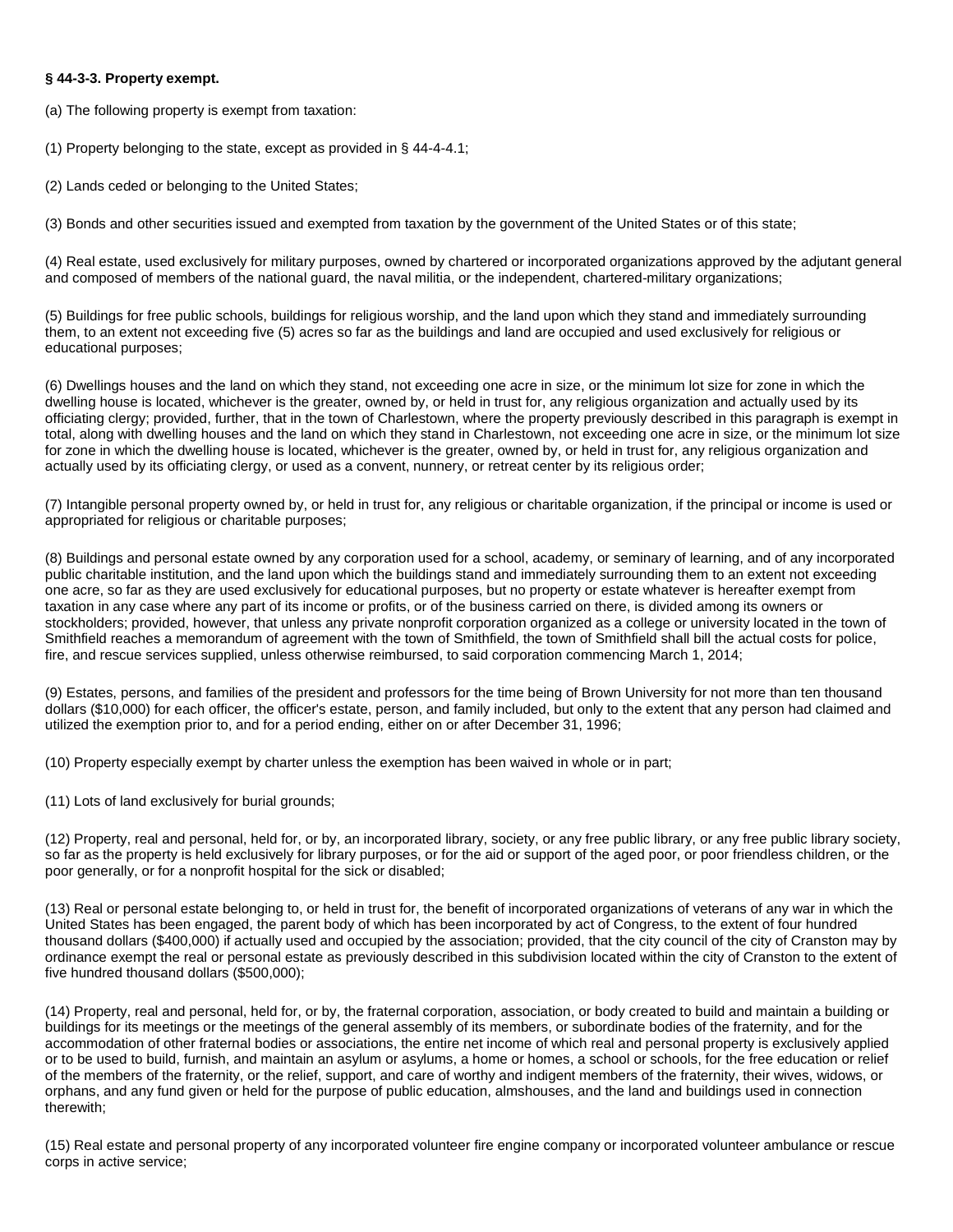#### **§ 44-3-3. Property exempt.**

(a) The following property is exempt from taxation:

(1) Property belonging to the state, except as provided in § 44-4-4.1;

(2) Lands ceded or belonging to the United States;

(3) Bonds and other securities issued and exempted from taxation by the government of the United States or of this state;

(4) Real estate, used exclusively for military purposes, owned by chartered or incorporated organizations approved by the adjutant general and composed of members of the national guard, the naval militia, or the independent, chartered-military organizations;

(5) Buildings for free public schools, buildings for religious worship, and the land upon which they stand and immediately surrounding them, to an extent not exceeding five (5) acres so far as the buildings and land are occupied and used exclusively for religious or educational purposes;

(6) Dwellings houses and the land on which they stand, not exceeding one acre in size, or the minimum lot size for zone in which the dwelling house is located, whichever is the greater, owned by, or held in trust for, any religious organization and actually used by its officiating clergy; provided, further, that in the town of Charlestown, where the property previously described in this paragraph is exempt in total, along with dwelling houses and the land on which they stand in Charlestown, not exceeding one acre in size, or the minimum lot size for zone in which the dwelling house is located, whichever is the greater, owned by, or held in trust for, any religious organization and actually used by its officiating clergy, or used as a convent, nunnery, or retreat center by its religious order;

(7) Intangible personal property owned by, or held in trust for, any religious or charitable organization, if the principal or income is used or appropriated for religious or charitable purposes;

(8) Buildings and personal estate owned by any corporation used for a school, academy, or seminary of learning, and of any incorporated public charitable institution, and the land upon which the buildings stand and immediately surrounding them to an extent not exceeding one acre, so far as they are used exclusively for educational purposes, but no property or estate whatever is hereafter exempt from taxation in any case where any part of its income or profits, or of the business carried on there, is divided among its owners or stockholders; provided, however, that unless any private nonprofit corporation organized as a college or university located in the town of Smithfield reaches a memorandum of agreement with the town of Smithfield, the town of Smithfield shall bill the actual costs for police, fire, and rescue services supplied, unless otherwise reimbursed, to said corporation commencing March 1, 2014;

(9) Estates, persons, and families of the president and professors for the time being of Brown University for not more than ten thousand dollars (\$10,000) for each officer, the officer's estate, person, and family included, but only to the extent that any person had claimed and utilized the exemption prior to, and for a period ending, either on or after December 31, 1996;

(10) Property especially exempt by charter unless the exemption has been waived in whole or in part;

(11) Lots of land exclusively for burial grounds;

(12) Property, real and personal, held for, or by, an incorporated library, society, or any free public library, or any free public library society, so far as the property is held exclusively for library purposes, or for the aid or support of the aged poor, or poor friendless children, or the poor generally, or for a nonprofit hospital for the sick or disabled;

(13) Real or personal estate belonging to, or held in trust for, the benefit of incorporated organizations of veterans of any war in which the United States has been engaged, the parent body of which has been incorporated by act of Congress, to the extent of four hundred thousand dollars (\$400,000) if actually used and occupied by the association; provided, that the city council of the city of Cranston may by ordinance exempt the real or personal estate as previously described in this subdivision located within the city of Cranston to the extent of five hundred thousand dollars (\$500,000);

(14) Property, real and personal, held for, or by, the fraternal corporation, association, or body created to build and maintain a building or buildings for its meetings or the meetings of the general assembly of its members, or subordinate bodies of the fraternity, and for the accommodation of other fraternal bodies or associations, the entire net income of which real and personal property is exclusively applied or to be used to build, furnish, and maintain an asylum or asylums, a home or homes, a school or schools, for the free education or relief of the members of the fraternity, or the relief, support, and care of worthy and indigent members of the fraternity, their wives, widows, or orphans, and any fund given or held for the purpose of public education, almshouses, and the land and buildings used in connection therewith;

(15) Real estate and personal property of any incorporated volunteer fire engine company or incorporated volunteer ambulance or rescue corps in active service;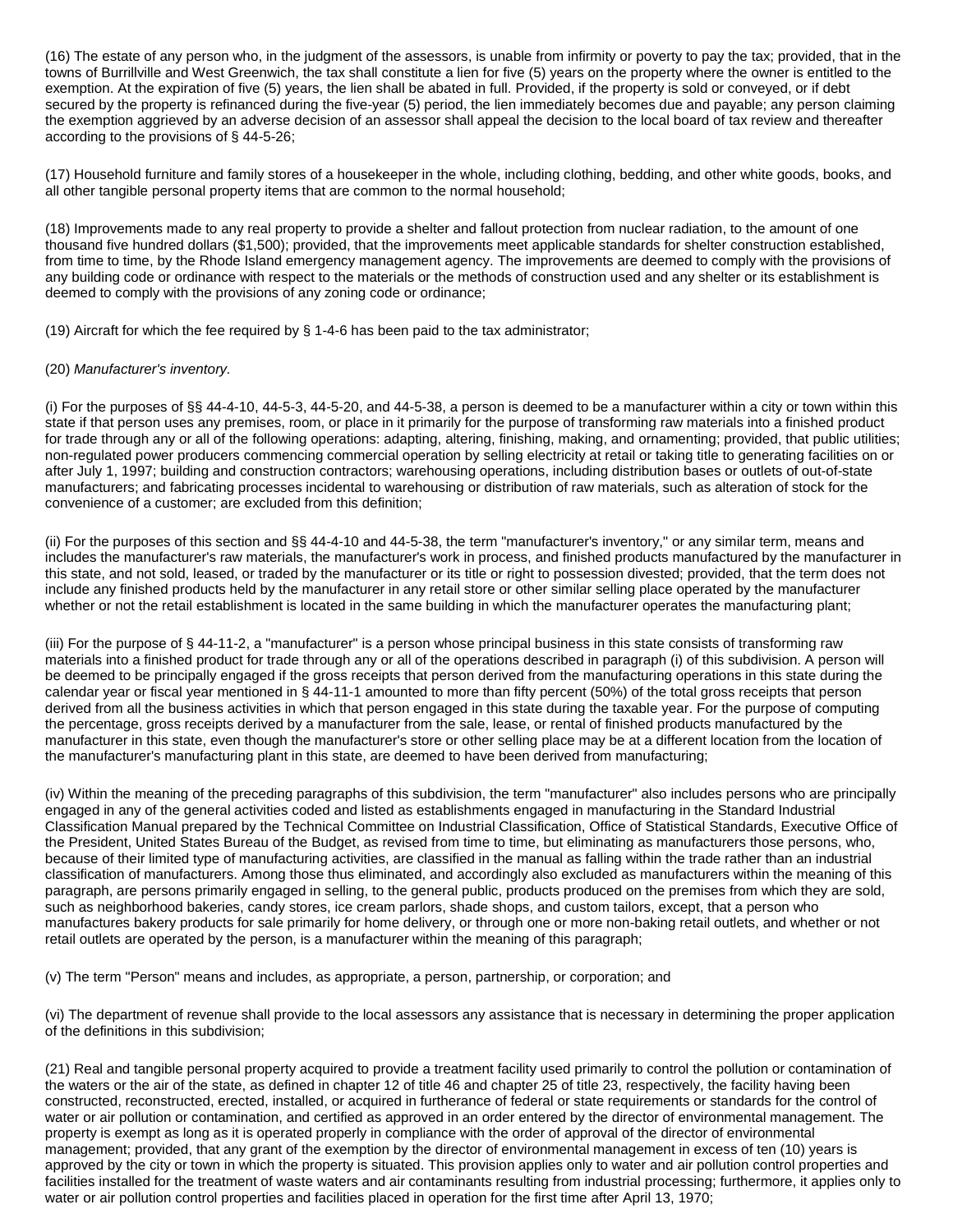(16) The estate of any person who, in the judgment of the assessors, is unable from infirmity or poverty to pay the tax; provided, that in the towns of Burrillville and West Greenwich, the tax shall constitute a lien for five (5) years on the property where the owner is entitled to the exemption. At the expiration of five (5) years, the lien shall be abated in full. Provided, if the property is sold or conveyed, or if debt secured by the property is refinanced during the five-year (5) period, the lien immediately becomes due and payable; any person claiming the exemption aggrieved by an adverse decision of an assessor shall appeal the decision to the local board of tax review and thereafter according to the provisions of § 44-5-26;

(17) Household furniture and family stores of a housekeeper in the whole, including clothing, bedding, and other white goods, books, and all other tangible personal property items that are common to the normal household;

(18) Improvements made to any real property to provide a shelter and fallout protection from nuclear radiation, to the amount of one thousand five hundred dollars (\$1,500); provided, that the improvements meet applicable standards for shelter construction established, from time to time, by the Rhode Island emergency management agency. The improvements are deemed to comply with the provisions of any building code or ordinance with respect to the materials or the methods of construction used and any shelter or its establishment is deemed to comply with the provisions of any zoning code or ordinance;

(19) Aircraft for which the fee required by § 1-4-6 has been paid to the tax administrator;

#### (20) *Manufacturer's inventory.*

(i) For the purposes of §§ 44-4-10, 44-5-3, 44-5-20, and 44-5-38, a person is deemed to be a manufacturer within a city or town within this state if that person uses any premises, room, or place in it primarily for the purpose of transforming raw materials into a finished product for trade through any or all of the following operations: adapting, altering, finishing, making, and ornamenting; provided, that public utilities; non-regulated power producers commencing commercial operation by selling electricity at retail or taking title to generating facilities on or after July 1, 1997; building and construction contractors; warehousing operations, including distribution bases or outlets of out-of-state manufacturers; and fabricating processes incidental to warehousing or distribution of raw materials, such as alteration of stock for the convenience of a customer; are excluded from this definition;

(ii) For the purposes of this section and §§ 44-4-10 and 44-5-38, the term "manufacturer's inventory," or any similar term, means and includes the manufacturer's raw materials, the manufacturer's work in process, and finished products manufactured by the manufacturer in this state, and not sold, leased, or traded by the manufacturer or its title or right to possession divested; provided, that the term does not include any finished products held by the manufacturer in any retail store or other similar selling place operated by the manufacturer whether or not the retail establishment is located in the same building in which the manufacturer operates the manufacturing plant;

(iii) For the purpose of § 44-11-2, a "manufacturer" is a person whose principal business in this state consists of transforming raw materials into a finished product for trade through any or all of the operations described in paragraph (i) of this subdivision. A person will be deemed to be principally engaged if the gross receipts that person derived from the manufacturing operations in this state during the calendar year or fiscal year mentioned in § 44-11-1 amounted to more than fifty percent (50%) of the total gross receipts that person derived from all the business activities in which that person engaged in this state during the taxable year. For the purpose of computing the percentage, gross receipts derived by a manufacturer from the sale, lease, or rental of finished products manufactured by the manufacturer in this state, even though the manufacturer's store or other selling place may be at a different location from the location of the manufacturer's manufacturing plant in this state, are deemed to have been derived from manufacturing;

(iv) Within the meaning of the preceding paragraphs of this subdivision, the term "manufacturer" also includes persons who are principally engaged in any of the general activities coded and listed as establishments engaged in manufacturing in the Standard Industrial Classification Manual prepared by the Technical Committee on Industrial Classification, Office of Statistical Standards, Executive Office of the President, United States Bureau of the Budget, as revised from time to time, but eliminating as manufacturers those persons, who, because of their limited type of manufacturing activities, are classified in the manual as falling within the trade rather than an industrial classification of manufacturers. Among those thus eliminated, and accordingly also excluded as manufacturers within the meaning of this paragraph, are persons primarily engaged in selling, to the general public, products produced on the premises from which they are sold, such as neighborhood bakeries, candy stores, ice cream parlors, shade shops, and custom tailors, except, that a person who manufactures bakery products for sale primarily for home delivery, or through one or more non-baking retail outlets, and whether or not retail outlets are operated by the person, is a manufacturer within the meaning of this paragraph;

(v) The term "Person" means and includes, as appropriate, a person, partnership, or corporation; and

(vi) The department of revenue shall provide to the local assessors any assistance that is necessary in determining the proper application of the definitions in this subdivision;

(21) Real and tangible personal property acquired to provide a treatment facility used primarily to control the pollution or contamination of the waters or the air of the state, as defined in chapter 12 of title 46 and chapter 25 of title 23, respectively, the facility having been constructed, reconstructed, erected, installed, or acquired in furtherance of federal or state requirements or standards for the control of water or air pollution or contamination, and certified as approved in an order entered by the director of environmental management. The property is exempt as long as it is operated properly in compliance with the order of approval of the director of environmental management; provided, that any grant of the exemption by the director of environmental management in excess of ten (10) years is approved by the city or town in which the property is situated. This provision applies only to water and air pollution control properties and facilities installed for the treatment of waste waters and air contaminants resulting from industrial processing; furthermore, it applies only to water or air pollution control properties and facilities placed in operation for the first time after April 13, 1970;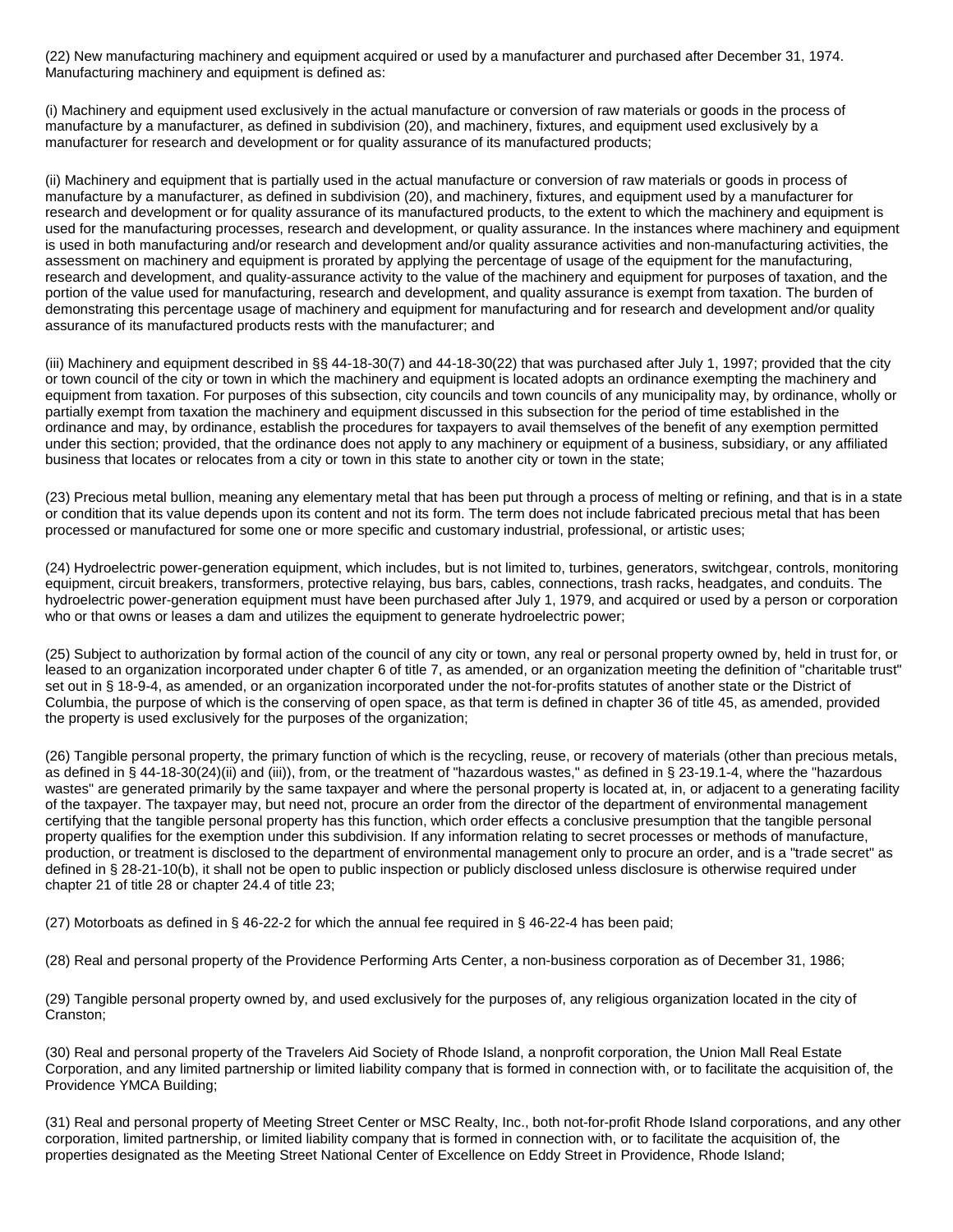(22) New manufacturing machinery and equipment acquired or used by a manufacturer and purchased after December 31, 1974. Manufacturing machinery and equipment is defined as:

(i) Machinery and equipment used exclusively in the actual manufacture or conversion of raw materials or goods in the process of manufacture by a manufacturer, as defined in subdivision (20), and machinery, fixtures, and equipment used exclusively by a manufacturer for research and development or for quality assurance of its manufactured products;

(ii) Machinery and equipment that is partially used in the actual manufacture or conversion of raw materials or goods in process of manufacture by a manufacturer, as defined in subdivision (20), and machinery, fixtures, and equipment used by a manufacturer for research and development or for quality assurance of its manufactured products, to the extent to which the machinery and equipment is used for the manufacturing processes, research and development, or quality assurance. In the instances where machinery and equipment is used in both manufacturing and/or research and development and/or quality assurance activities and non-manufacturing activities, the assessment on machinery and equipment is prorated by applying the percentage of usage of the equipment for the manufacturing, research and development, and quality-assurance activity to the value of the machinery and equipment for purposes of taxation, and the portion of the value used for manufacturing, research and development, and quality assurance is exempt from taxation. The burden of demonstrating this percentage usage of machinery and equipment for manufacturing and for research and development and/or quality assurance of its manufactured products rests with the manufacturer; and

(iii) Machinery and equipment described in §§ 44-18-30(7) and 44-18-30(22) that was purchased after July 1, 1997; provided that the city or town council of the city or town in which the machinery and equipment is located adopts an ordinance exempting the machinery and equipment from taxation. For purposes of this subsection, city councils and town councils of any municipality may, by ordinance, wholly or partially exempt from taxation the machinery and equipment discussed in this subsection for the period of time established in the ordinance and may, by ordinance, establish the procedures for taxpayers to avail themselves of the benefit of any exemption permitted under this section; provided, that the ordinance does not apply to any machinery or equipment of a business, subsidiary, or any affiliated business that locates or relocates from a city or town in this state to another city or town in the state;

(23) Precious metal bullion, meaning any elementary metal that has been put through a process of melting or refining, and that is in a state or condition that its value depends upon its content and not its form. The term does not include fabricated precious metal that has been processed or manufactured for some one or more specific and customary industrial, professional, or artistic uses;

(24) Hydroelectric power-generation equipment, which includes, but is not limited to, turbines, generators, switchgear, controls, monitoring equipment, circuit breakers, transformers, protective relaying, bus bars, cables, connections, trash racks, headgates, and conduits. The hydroelectric power-generation equipment must have been purchased after July 1, 1979, and acquired or used by a person or corporation who or that owns or leases a dam and utilizes the equipment to generate hydroelectric power;

(25) Subject to authorization by formal action of the council of any city or town, any real or personal property owned by, held in trust for, or leased to an organization incorporated under chapter 6 of title 7, as amended, or an organization meeting the definition of "charitable trust" set out in § 18-9-4, as amended, or an organization incorporated under the not-for-profits statutes of another state or the District of Columbia, the purpose of which is the conserving of open space, as that term is defined in chapter 36 of title 45, as amended, provided the property is used exclusively for the purposes of the organization;

(26) Tangible personal property, the primary function of which is the recycling, reuse, or recovery of materials (other than precious metals, as defined in § 44-18-30(24)(ii) and (iii)), from, or the treatment of "hazardous wastes," as defined in § 23-19.1-4, where the "hazardous wastes" are generated primarily by the same taxpayer and where the personal property is located at, in, or adjacent to a generating facility of the taxpayer. The taxpayer may, but need not, procure an order from the director of the department of environmental management certifying that the tangible personal property has this function, which order effects a conclusive presumption that the tangible personal property qualifies for the exemption under this subdivision. If any information relating to secret processes or methods of manufacture, production, or treatment is disclosed to the department of environmental management only to procure an order, and is a "trade secret" as defined in § 28-21-10(b), it shall not be open to public inspection or publicly disclosed unless disclosure is otherwise required under chapter 21 of title 28 or chapter 24.4 of title 23;

(27) Motorboats as defined in § 46-22-2 for which the annual fee required in § 46-22-4 has been paid;

(28) Real and personal property of the Providence Performing Arts Center, a non-business corporation as of December 31, 1986;

(29) Tangible personal property owned by, and used exclusively for the purposes of, any religious organization located in the city of Cranston;

(30) Real and personal property of the Travelers Aid Society of Rhode Island, a nonprofit corporation, the Union Mall Real Estate Corporation, and any limited partnership or limited liability company that is formed in connection with, or to facilitate the acquisition of, the Providence YMCA Building;

(31) Real and personal property of Meeting Street Center or MSC Realty, Inc., both not-for-profit Rhode Island corporations, and any other corporation, limited partnership, or limited liability company that is formed in connection with, or to facilitate the acquisition of, the properties designated as the Meeting Street National Center of Excellence on Eddy Street in Providence, Rhode Island;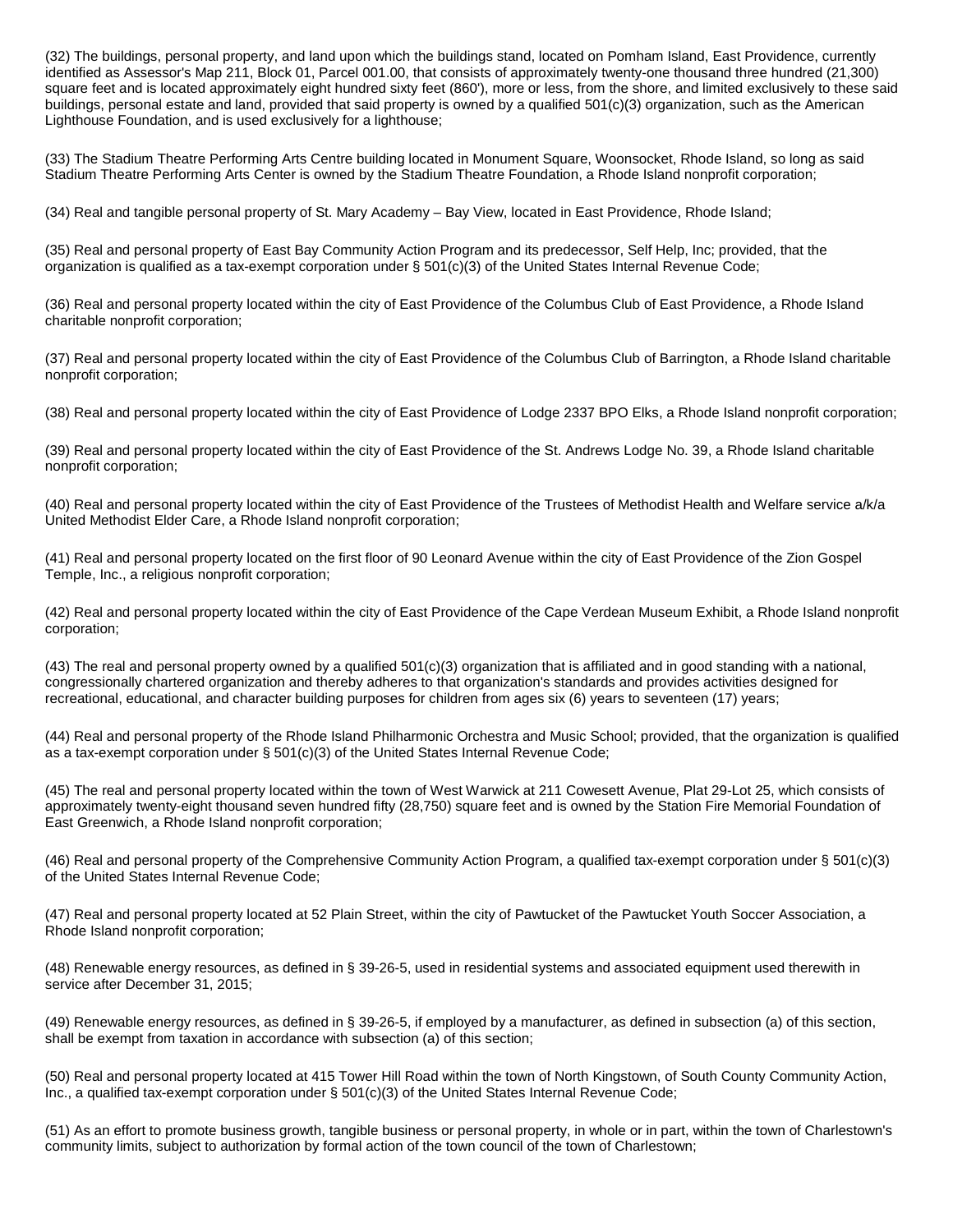(32) The buildings, personal property, and land upon which the buildings stand, located on Pomham Island, East Providence, currently identified as Assessor's Map 211, Block 01, Parcel 001.00, that consists of approximately twenty-one thousand three hundred (21,300) square feet and is located approximately eight hundred sixty feet (860'), more or less, from the shore, and limited exclusively to these said buildings, personal estate and land, provided that said property is owned by a qualified 501(c)(3) organization, such as the American Lighthouse Foundation, and is used exclusively for a lighthouse;

(33) The Stadium Theatre Performing Arts Centre building located in Monument Square, Woonsocket, Rhode Island, so long as said Stadium Theatre Performing Arts Center is owned by the Stadium Theatre Foundation, a Rhode Island nonprofit corporation;

(34) Real and tangible personal property of St. Mary Academy – Bay View, located in East Providence, Rhode Island;

(35) Real and personal property of East Bay Community Action Program and its predecessor, Self Help, Inc; provided, that the organization is qualified as a tax-exempt corporation under § 501(c)(3) of the United States Internal Revenue Code;

(36) Real and personal property located within the city of East Providence of the Columbus Club of East Providence, a Rhode Island charitable nonprofit corporation;

(37) Real and personal property located within the city of East Providence of the Columbus Club of Barrington, a Rhode Island charitable nonprofit corporation;

(38) Real and personal property located within the city of East Providence of Lodge 2337 BPO Elks, a Rhode Island nonprofit corporation;

(39) Real and personal property located within the city of East Providence of the St. Andrews Lodge No. 39, a Rhode Island charitable nonprofit corporation;

(40) Real and personal property located within the city of East Providence of the Trustees of Methodist Health and Welfare service a/k/a United Methodist Elder Care, a Rhode Island nonprofit corporation;

(41) Real and personal property located on the first floor of 90 Leonard Avenue within the city of East Providence of the Zion Gospel Temple, Inc., a religious nonprofit corporation;

(42) Real and personal property located within the city of East Providence of the Cape Verdean Museum Exhibit, a Rhode Island nonprofit corporation;

(43) The real and personal property owned by a qualified 501(c)(3) organization that is affiliated and in good standing with a national, congressionally chartered organization and thereby adheres to that organization's standards and provides activities designed for recreational, educational, and character building purposes for children from ages six (6) years to seventeen (17) years;

(44) Real and personal property of the Rhode Island Philharmonic Orchestra and Music School; provided, that the organization is qualified as a tax-exempt corporation under § 501(c)(3) of the United States Internal Revenue Code;

(45) The real and personal property located within the town of West Warwick at 211 Cowesett Avenue, Plat 29-Lot 25, which consists of approximately twenty-eight thousand seven hundred fifty (28,750) square feet and is owned by the Station Fire Memorial Foundation of East Greenwich, a Rhode Island nonprofit corporation;

(46) Real and personal property of the Comprehensive Community Action Program, a qualified tax-exempt corporation under § 501(c)(3) of the United States Internal Revenue Code;

(47) Real and personal property located at 52 Plain Street, within the city of Pawtucket of the Pawtucket Youth Soccer Association, a Rhode Island nonprofit corporation;

(48) Renewable energy resources, as defined in § 39-26-5, used in residential systems and associated equipment used therewith in service after December 31, 2015;

(49) Renewable energy resources, as defined in § 39-26-5, if employed by a manufacturer, as defined in subsection (a) of this section, shall be exempt from taxation in accordance with subsection (a) of this section;

(50) Real and personal property located at 415 Tower Hill Road within the town of North Kingstown, of South County Community Action, Inc., a qualified tax-exempt corporation under § 501(c)(3) of the United States Internal Revenue Code;

(51) As an effort to promote business growth, tangible business or personal property, in whole or in part, within the town of Charlestown's community limits, subject to authorization by formal action of the town council of the town of Charlestown;